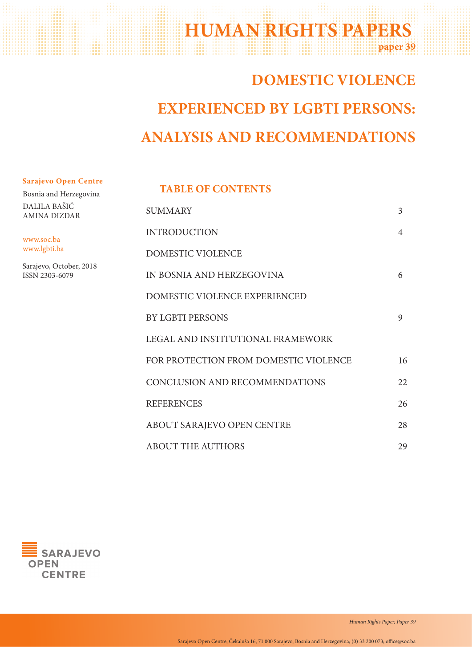## **paper 39 HUMAN RIGHTS PAPERS**

# **DOMESTIC VIOLENCE EXPERIENCED BY LGBTI PERSONS: ANALYSIS AND RECOMMENDATIONS**

#### **Sarajevo Open Centre**

Bosnia and Herzegovina DALILA BAŠIĆ AMINA DIZDAR

www.soc.ba www.lgbti.ba

Sarajevo, October, 2018 ISSN 2303-6079

#### **TABLE OF CONTENTS**

| <b>SUMMARY</b>                        | 3  |
|---------------------------------------|----|
| <b>INTRODUCTION</b>                   | 4  |
| <b>DOMESTIC VIOLENCE</b>              |    |
| IN BOSNIA AND HERZEGOVINA             | 6  |
| DOMESTIC VIOLENCE EXPERIENCED         |    |
| <b>BY LGBTI PERSONS</b>               | 9  |
| LEGAL AND INSTITUTIONAL FRAMEWORK     |    |
| FOR PROTECTION FROM DOMESTIC VIOLENCE | 16 |
| CONCLUSION AND RECOMMENDATIONS        | 22 |
| <b>REFERENCES</b>                     | 26 |
| ABOUT SARAJEVO OPEN CENTRE            | 28 |
| <b>ABOUT THE AUTHORS</b>              | 29 |

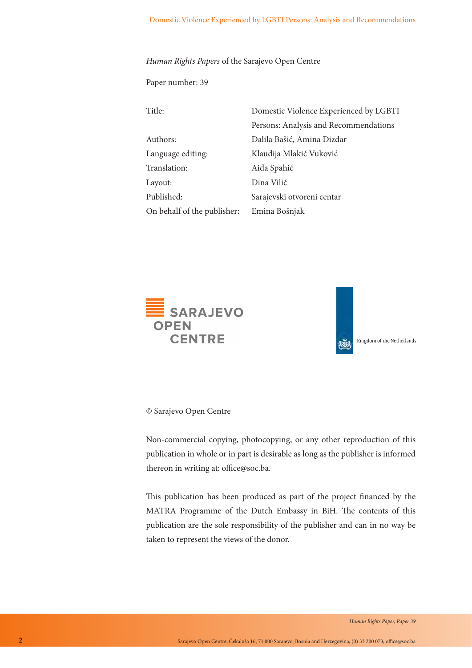*Human Rights Papers* of the Sarajevo Open Centre

Paper number: 39

| Title:                      | Domestic Violence Experienced by LGBTI |
|-----------------------------|----------------------------------------|
|                             | Persons: Analysis and Recommendations  |
| Authors:                    | Dalila Bašić, Amina Dizdar             |
| Language editing:           | Klaudija Mlakić Vuković                |
| Translation:                | Aida Spahić                            |
| Layout:                     | Dina Vilić                             |
| Published:                  | Sarajevski otvoreni centar             |
| On behalf of the publisher: | Emina Bošnjak                          |





© Sarajevo Open Centre

Non-commercial copying, photocopying, or any other reproduction of this publication in whole or in part is desirable as long as the publisher is informed thereon in writing at: office@soc.ba.

This publication has been produced as part of the project financed by the MATRA Programme of the Dutch Embassy in BiH. The contents of this publication are the sole responsibility of the publisher and can in no way be taken to represent the views of the donor.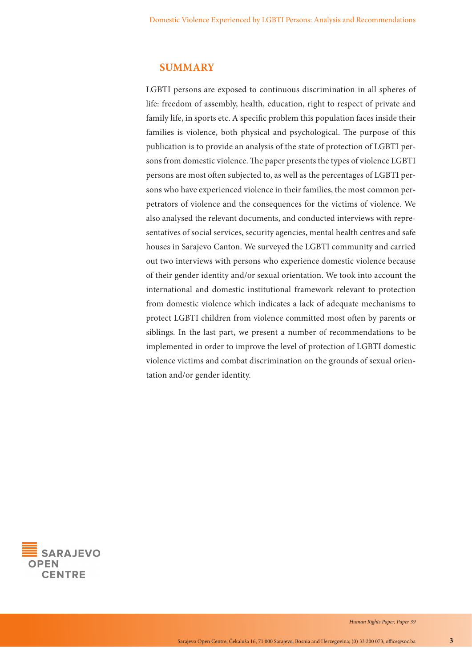#### **SUMMARY**

LGBTI persons are exposed to continuous discrimination in all spheres of life: freedom of assembly, health, education, right to respect of private and family life, in sports etc. A specific problem this population faces inside their families is violence, both physical and psychological. The purpose of this publication is to provide an analysis of the state of protection of LGBTI persons from domestic violence. The paper presents the types of violence LGBTI persons are most often subjected to, as well as the percentages of LGBTI persons who have experienced violence in their families, the most common perpetrators of violence and the consequences for the victims of violence. We also analysed the relevant documents, and conducted interviews with representatives of social services, security agencies, mental health centres and safe houses in Sarajevo Canton. We surveyed the LGBTI community and carried out two interviews with persons who experience domestic violence because of their gender identity and/or sexual orientation. We took into account the international and domestic institutional framework relevant to protection from domestic violence which indicates a lack of adequate mechanisms to protect LGBTI children from violence committed most often by parents or siblings. In the last part, we present a number of recommendations to be implemented in order to improve the level of protection of LGBTI domestic violence victims and combat discrimination on the grounds of sexual orientation and/or gender identity.

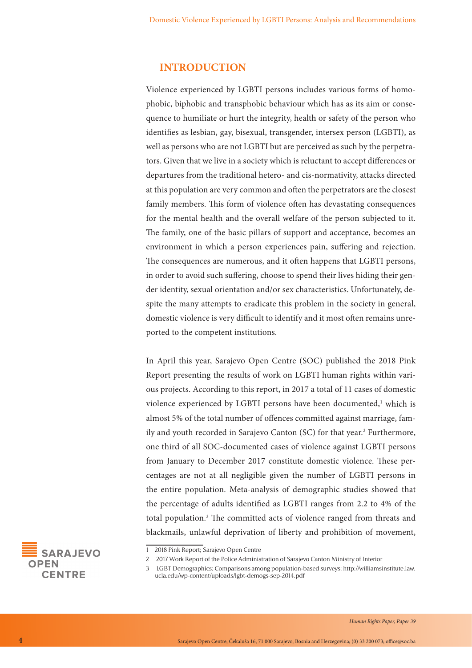#### **INTRODUCTION**

Violence experienced by LGBTI persons includes various forms of homophobic, biphobic and transphobic behaviour which has as its aim or consequence to humiliate or hurt the integrity, health or safety of the person who identifies as lesbian, gay, bisexual, transgender, intersex person (LGBTI), as well as persons who are not LGBTI but are perceived as such by the perpetrators. Given that we live in a society which is reluctant to accept differences or departures from the traditional hetero- and cis-normativity, attacks directed at this population are very common and often the perpetrators are the closest family members. This form of violence often has devastating consequences for the mental health and the overall welfare of the person subjected to it. The family, one of the basic pillars of support and acceptance, becomes an environment in which a person experiences pain, suffering and rejection. The consequences are numerous, and it often happens that LGBTI persons, in order to avoid such suffering, choose to spend their lives hiding their gender identity, sexual orientation and/or sex characteristics. Unfortunately, despite the many attempts to eradicate this problem in the society in general, domestic violence is very difficult to identify and it most often remains unreported to the competent institutions.

In April this year, Sarajevo Open Centre (SOC) published the 2018 Pink Report presenting the results of work on LGBTI human rights within various projects. According to this report, in 2017 a total of 11 cases of domestic violence experienced by LGBTI persons have been documented,<sup>1</sup> which is almost 5% of the total number of offences committed against marriage, family and youth recorded in Sarajevo Canton (SC) for that year.<sup>2</sup> Furthermore, one third of all SOC-documented cases of violence against LGBTI persons from January to December 2017 constitute domestic violence. These percentages are not at all negligible given the number of LGBTI persons in the entire population. Meta-analysis of demographic studies showed that the percentage of adults identified as LGBTI ranges from 2.2 to 4% of the total population.3 The committed acts of violence ranged from threats and blackmails, unlawful deprivation of liberty and prohibition of movement,



<sup>1 2018</sup> Pink Report; Sarajevo Open Centre

<sup>2</sup> 2017 Work Report of the Police Administration of Sarajevo Canton Ministry of Interior

<sup>3</sup> LGBT Demographics: Comparisons among population-based surveys: http://williamsinstitute.law. ucla.edu/wp-content/uploads/lgbt-demogs-sep-2014.pdf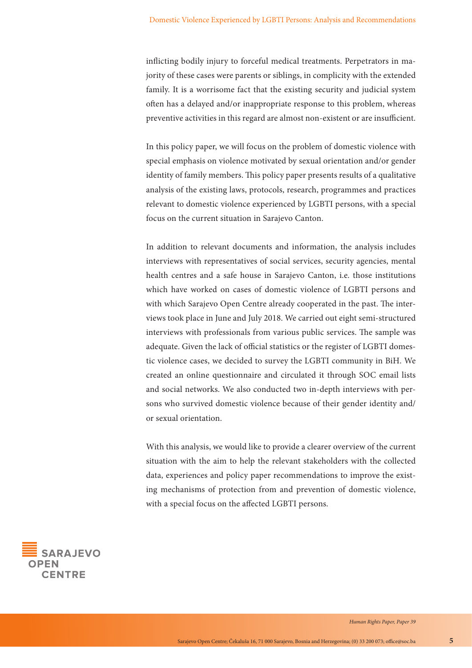inflicting bodily injury to forceful medical treatments. Perpetrators in majority of these cases were parents or siblings, in complicity with the extended family. It is a worrisome fact that the existing security and judicial system often has a delayed and/or inappropriate response to this problem, whereas preventive activities in this regard are almost non-existent or are insufficient.

In this policy paper, we will focus on the problem of domestic violence with special emphasis on violence motivated by sexual orientation and/or gender identity of family members. This policy paper presents results of a qualitative analysis of the existing laws, protocols, research, programmes and practices relevant to domestic violence experienced by LGBTI persons, with a special focus on the current situation in Sarajevo Canton.

In addition to relevant documents and information, the analysis includes interviews with representatives of social services, security agencies, mental health centres and a safe house in Sarajevo Canton, i.e. those institutions which have worked on cases of domestic violence of LGBTI persons and with which Sarajevo Open Centre already cooperated in the past. The interviews took place in June and July 2018. We carried out eight semi-structured interviews with professionals from various public services. The sample was adequate. Given the lack of official statistics or the register of LGBTI domestic violence cases, we decided to survey the LGBTI community in BiH. We created an online questionnaire and circulated it through SOC email lists and social networks. We also conducted two in-depth interviews with persons who survived domestic violence because of their gender identity and/ or sexual orientation.

With this analysis, we would like to provide a clearer overview of the current situation with the aim to help the relevant stakeholders with the collected data, experiences and policy paper recommendations to improve the existing mechanisms of protection from and prevention of domestic violence, with a special focus on the affected LGBTI persons.

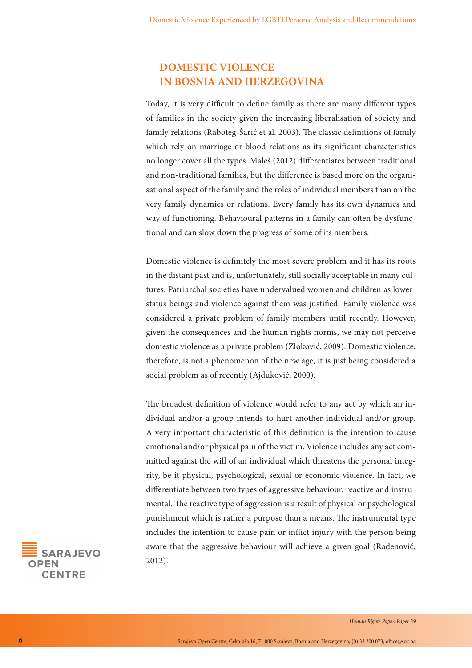## **DOMESTIC VIOLENCE IN BOSNIA AND HERZEGOVINA**

Today, it is very difficult to define family as there are many different types of families in the society given the increasing liberalisation of society and family relations (Raboteg-Šarić et al. 2003). The classic definitions of family which rely on marriage or blood relations as its significant characteristics no longer cover all the types. Maleš (2012) differentiates between traditional and non-traditional families, but the difference is based more on the organisational aspect of the family and the roles of individual members than on the very family dynamics or relations. Every family has its own dynamics and way of functioning. Behavioural patterns in a family can often be dysfunctional and can slow down the progress of some of its members.

Domestic violence is definitely the most severe problem and it has its roots in the distant past and is, unfortunately, still socially acceptable in many cultures. Patriarchal societies have undervalued women and children as lowerstatus beings and violence against them was justified. Family violence was considered a private problem of family members until recently. However, given the consequences and the human rights norms, we may not perceive domestic violence as a private problem (Zloković, 2009). Domestic violence, therefore, is not a phenomenon of the new age, it is just being considered a social problem as of recently (Ajduković, 2000).

The broadest definition of violence would refer to any act by which an individual and/or a group intends to hurt another individual and/or group. A very important characteristic of this definition is the intention to cause emotional and/or physical pain of the victim. Violence includes any act committed against the will of an individual which threatens the personal integrity, be it physical, psychological, sexual or economic violence. In fact, we differentiate between two types of aggressive behaviour, reactive and instrumental. The reactive type of aggression is a result of physical or psychological punishment which is rather a purpose than a means. The instrumental type includes the intention to cause pain or inflict injury with the person being aware that the aggressive behaviour will achieve a given goal (Radenović, 2012).

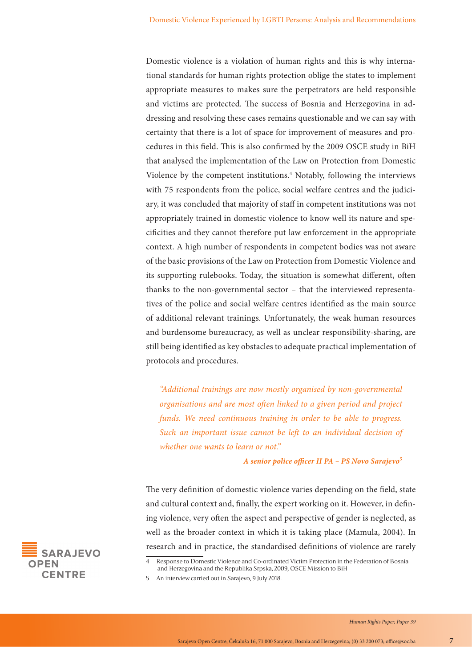Domestic violence is a violation of human rights and this is why international standards for human rights protection oblige the states to implement appropriate measures to makes sure the perpetrators are held responsible and victims are protected. The success of Bosnia and Herzegovina in addressing and resolving these cases remains questionable and we can say with certainty that there is a lot of space for improvement of measures and procedures in this field. This is also confirmed by the 2009 OSCE study in BiH that analysed the implementation of the Law on Protection from Domestic Violence by the competent institutions.<sup>4</sup> Notably, following the interviews with 75 respondents from the police, social welfare centres and the judiciary, it was concluded that majority of staff in competent institutions was not appropriately trained in domestic violence to know well its nature and specificities and they cannot therefore put law enforcement in the appropriate context. A high number of respondents in competent bodies was not aware of the basic provisions of the Law on Protection from Domestic Violence and its supporting rulebooks. Today, the situation is somewhat different, often thanks to the non-governmental sector – that the interviewed representatives of the police and social welfare centres identified as the main source of additional relevant trainings. Unfortunately, the weak human resources and burdensome bureaucracy, as well as unclear responsibility-sharing, are still being identified as key obstacles to adequate practical implementation of protocols and procedures.

*"Additional trainings are now mostly organised by non-governmental organisations and are most often linked to a given period and project funds. We need continuous training in order to be able to progress. Such an important issue cannot be left to an individual decision of whether one wants to learn or not."*

*A senior police officer II PA – PS Novo Sarajevo<sup>5</sup>*

The very definition of domestic violence varies depending on the field, state and cultural context and, finally, the expert working on it. However, in defining violence, very often the aspect and perspective of gender is neglected, as well as the broader context in which it is taking place (Mamula, 2004). In research and in practice, the standardised definitions of violence are rarely



5 An interview carried out in Sarajevo, 9 July 2018.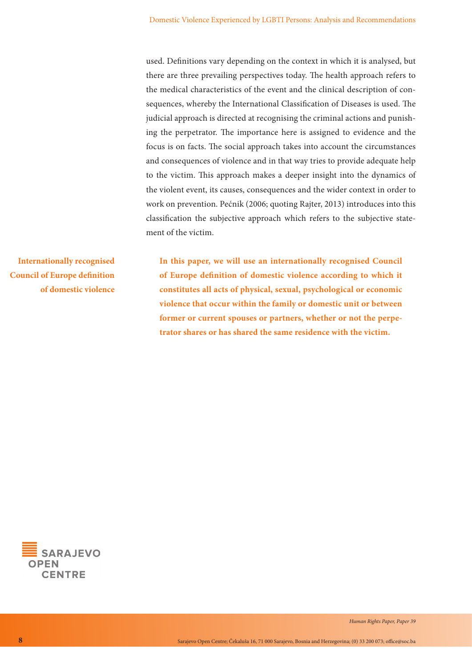used. Definitions vary depending on the context in which it is analysed, but there are three prevailing perspectives today. The health approach refers to the medical characteristics of the event and the clinical description of consequences, whereby the International Classification of Diseases is used. The judicial approach is directed at recognising the criminal actions and punishing the perpetrator. The importance here is assigned to evidence and the focus is on facts. The social approach takes into account the circumstances and consequences of violence and in that way tries to provide adequate help to the victim. This approach makes a deeper insight into the dynamics of the violent event, its causes, consequences and the wider context in order to work on prevention. Pećnik (2006; quoting Rajter, 2013) introduces into this classification the subjective approach which refers to the subjective statement of the victim.

**Internationally recognised Council of Europe definition of domestic violence** **In this paper, we will use an internationally recognised Council of Europe definition of domestic violence according to which it constitutes all acts of physical, sexual, psychological or economic violence that occur within the family or domestic unit or between former or current spouses or partners, whether or not the perpetrator shares or has shared the same residence with the victim.**

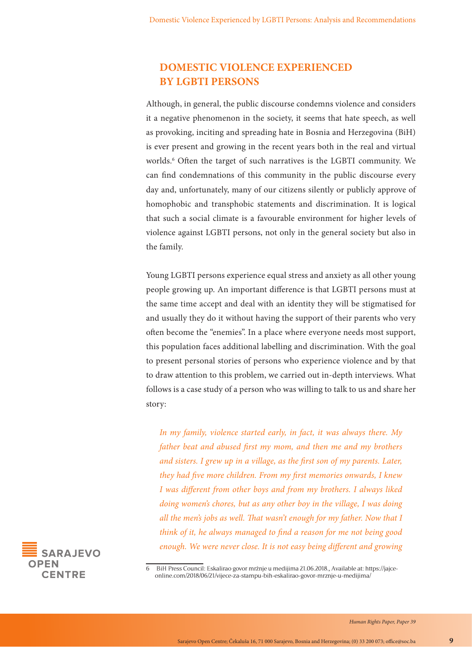## **DOMESTIC VIOLENCE EXPERIENCED BY LGBTI PERSONS**

Although, in general, the public discourse condemns violence and considers it a negative phenomenon in the society, it seems that hate speech, as well as provoking, inciting and spreading hate in Bosnia and Herzegovina (BiH) is ever present and growing in the recent years both in the real and virtual worlds.<sup>6</sup> Often the target of such narratives is the LGBTI community. We can find condemnations of this community in the public discourse every day and, unfortunately, many of our citizens silently or publicly approve of homophobic and transphobic statements and discrimination. It is logical that such a social climate is a favourable environment for higher levels of violence against LGBTI persons, not only in the general society but also in the family.

Young LGBTI persons experience equal stress and anxiety as all other young people growing up. An important difference is that LGBTI persons must at the same time accept and deal with an identity they will be stigmatised for and usually they do it without having the support of their parents who very often become the "enemies". In a place where everyone needs most support, this population faces additional labelling and discrimination. With the goal to present personal stories of persons who experience violence and by that to draw attention to this problem, we carried out in-depth interviews. What follows is a case study of a person who was willing to talk to us and share her story:

*In my family, violence started early, in fact, it was always there. My father beat and abused first my mom, and then me and my brothers and sisters. I grew up in a village, as the first son of my parents. Later, they had five more children. From my first memories onwards, I knew I was different from other boys and from my brothers. I always liked doing women's chores, but as any other boy in the village, I was doing all the men's jobs as well. That wasn't enough for my father. Now that I think of it, he always managed to find a reason for me not being good enough. We were never close. It is not easy being different and growing* 



<sup>6</sup>  BiH Press Council: Eskalirao govor mržnje u medijima 21.06.2018., Available at: https://jajceonline.com/2018/06/21/vijece-za-stampu-bih-eskalirao-govor-mrznje-u-medijima/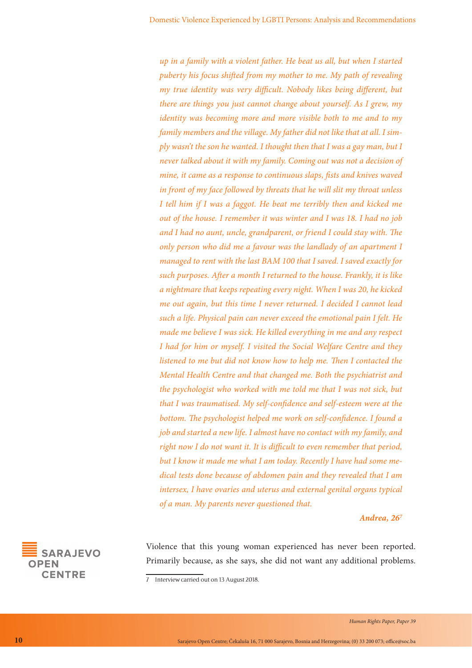*up in a family with a violent father. He beat us all, but when I started puberty his focus shifted from my mother to me. My path of revealing my true identity was very difficult. Nobody likes being different, but there are things you just cannot change about yourself. As I grew, my identity was becoming more and more visible both to me and to my family members and the village. My father did not like that at all. I simply wasn't the son he wanted. I thought then that I was a gay man, but I never talked about it with my family. Coming out was not a decision of mine, it came as a response to continuous slaps, fists and knives waved in front of my face followed by threats that he will slit my throat unless I tell him if I was a faggot. He beat me terribly then and kicked me out of the house. I remember it was winter and I was 18. I had no job and I had no aunt, uncle, grandparent, or friend I could stay with. The only person who did me a favour was the landlady of an apartment I managed to rent with the last BAM 100 that I saved. I saved exactly for such purposes. After a month I returned to the house. Frankly, it is like a nightmare that keeps repeating every night. When I was 20, he kicked me out again, but this time I never returned. I decided I cannot lead such a life. Physical pain can never exceed the emotional pain I felt. He made me believe I was sick. He killed everything in me and any respect I had for him or myself. I visited the Social Welfare Centre and they listened to me but did not know how to help me. Then I contacted the Mental Health Centre and that changed me. Both the psychiatrist and the psychologist who worked with me told me that I was not sick, but that I was traumatised. My self-confidence and self-esteem were at the bottom. The psychologist helped me work on self-confidence. I found a job and started a new life. I almost have no contact with my family, and right now I do not want it. It is difficult to even remember that period, but I know it made me what I am today. Recently I have had some medical tests done because of abdomen pain and they revealed that I am intersex, I have ovaries and uterus and external genital organs typical of a man. My parents never questioned that.*

*Andrea, 267*

Violence that this young woman experienced has never been reported. Primarily because, as she says, she did not want any additional problems.



<sup>7</sup> Interview carried out on 13 August 2018.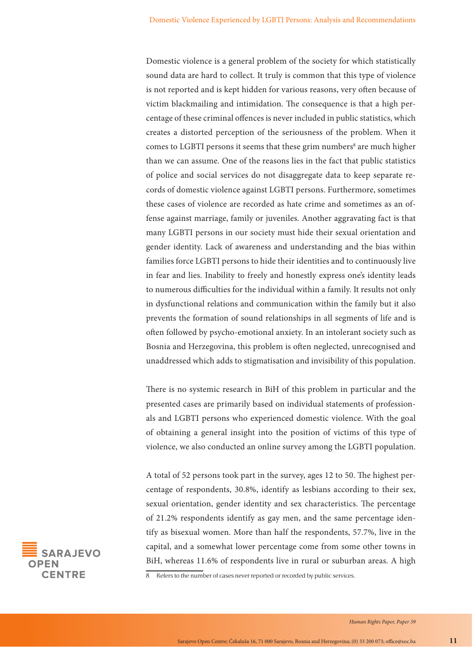Domestic violence is a general problem of the society for which statistically sound data are hard to collect. It truly is common that this type of violence is not reported and is kept hidden for various reasons, very often because of victim blackmailing and intimidation. The consequence is that a high percentage of these criminal offences is never included in public statistics, which creates a distorted perception of the seriousness of the problem. When it comes to LGBTI persons it seems that these grim numbers<sup>8</sup> are much higher than we can assume. One of the reasons lies in the fact that public statistics of police and social services do not disaggregate data to keep separate records of domestic violence against LGBTI persons. Furthermore, sometimes these cases of violence are recorded as hate crime and sometimes as an offense against marriage, family or juveniles. Another aggravating fact is that many LGBTI persons in our society must hide their sexual orientation and gender identity. Lack of awareness and understanding and the bias within families force LGBTI persons to hide their identities and to continuously live in fear and lies. Inability to freely and honestly express one's identity leads to numerous difficulties for the individual within a family. It results not only in dysfunctional relations and communication within the family but it also prevents the formation of sound relationships in all segments of life and is often followed by psycho-emotional anxiety. In an intolerant society such as Bosnia and Herzegovina, this problem is often neglected, unrecognised and unaddressed which adds to stigmatisation and invisibility of this population.

There is no systemic research in BiH of this problem in particular and the presented cases are primarily based on individual statements of professionals and LGBTI persons who experienced domestic violence. With the goal of obtaining a general insight into the position of victims of this type of violence, we also conducted an online survey among the LGBTI population.

A total of 52 persons took part in the survey, ages 12 to 50. The highest percentage of respondents, 30.8%, identify as lesbians according to their sex, sexual orientation, gender identity and sex characteristics. The percentage of 21.2% respondents identify as gay men, and the same percentage identify as bisexual women. More than half the respondents, 57.7%, live in the capital, and a somewhat lower percentage come from some other towns in BiH, whereas 11.6% of respondents live in rural or suburban areas. A high



8 Refers to the number of cases never reported or recorded by public services.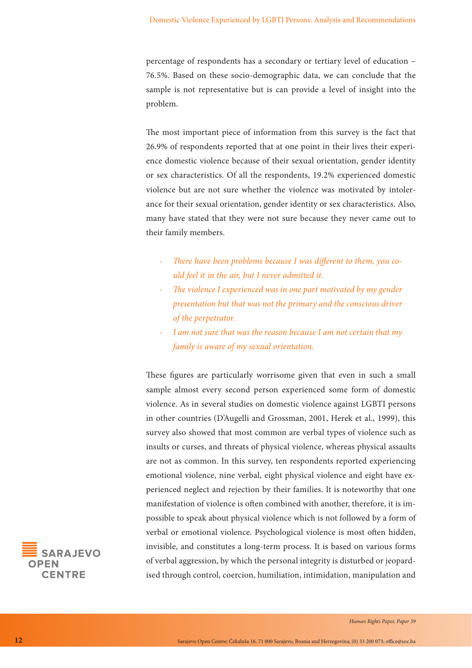percentage of respondents has a secondary or tertiary level of education – 76.5%. Based on these socio-demographic data, we can conclude that the sample is not representative but is can provide a level of insight into the problem.

The most important piece of information from this survey is the fact that 26.9% of respondents reported that at one point in their lives their experience domestic violence because of their sexual orientation, gender identity or sex characteristics. Of all the respondents, 19.2% experienced domestic violence but are not sure whether the violence was motivated by intolerance for their sexual orientation, gender identity or sex characteristics. Also, many have stated that they were not sure because they never came out to their family members.

- *There have been problems because I was different to them, you could feel it in the air, but I never admitted it.*
- *The violence I experienced was in one part motivated by my gender presentation but that was not the primary and the conscious driver of the perpetrator.*
- *I am not sure that was the reason because I am not certain that my family is aware of my sexual orientation.*

These figures are particularly worrisome given that even in such a small sample almost every second person experienced some form of domestic violence. As in several studies on domestic violence against LGBTI persons in other countries (D'Augelli and Grossman, 2001, Herek et al., 1999), this survey also showed that most common are verbal types of violence such as insults or curses, and threats of physical violence, whereas physical assaults are not as common. In this survey, ten respondents reported experiencing emotional violence, nine verbal, eight physical violence and eight have experienced neglect and rejection by their families. It is noteworthy that one manifestation of violence is often combined with another, therefore, it is impossible to speak about physical violence which is not followed by a form of verbal or emotional violence. Psychological violence is most often hidden, invisible, and constitutes a long-term process. It is based on various forms of verbal aggression, by which the personal integrity is disturbed or jeopardised through control, coercion, humiliation, intimidation, manipulation and

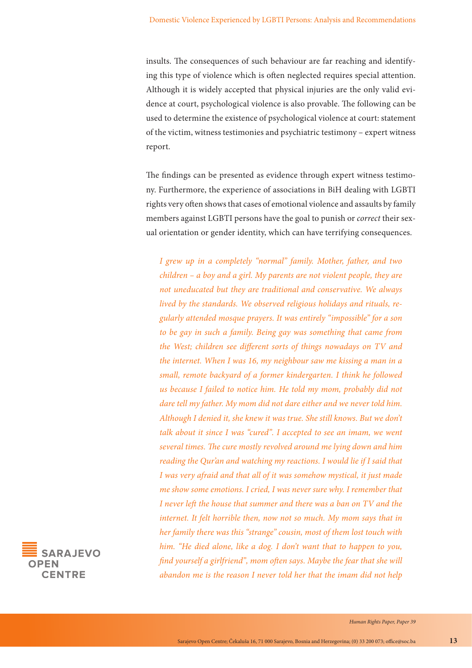insults. The consequences of such behaviour are far reaching and identifying this type of violence which is often neglected requires special attention. Although it is widely accepted that physical injuries are the only valid evidence at court, psychological violence is also provable. The following can be used to determine the existence of psychological violence at court: statement of the victim, witness testimonies and psychiatric testimony – expert witness report.

The findings can be presented as evidence through expert witness testimony. Furthermore, the experience of associations in BiH dealing with LGBTI rights very often shows that cases of emotional violence and assaults by family members against LGBTI persons have the goal to punish or *correct* their sexual orientation or gender identity, which can have terrifying consequences.

*I grew up in a completely "normal" family. Mother, father, and two children – a boy and a girl. My parents are not violent people, they are not uneducated but they are traditional and conservative. We always lived by the standards. We observed religious holidays and rituals, regularly attended mosque prayers. It was entirely "impossible" for a son to be gay in such a family. Being gay was something that came from the West; children see different sorts of things nowadays on TV and the internet. When I was 16, my neighbour saw me kissing a man in a small, remote backyard of a former kindergarten. I think he followed us because I failed to notice him. He told my mom, probably did not dare tell my father. My mom did not dare either and we never told him. Although I denied it, she knew it was true. She still knows. But we don't talk about it since I was "cured". I accepted to see an imam, we went several times. The cure mostly revolved around me lying down and him reading the Qur'an and watching my reactions. I would lie if I said that I was very afraid and that all of it was somehow mystical, it just made me show some emotions. I cried, I was never sure why. I remember that I never left the house that summer and there was a ban on TV and the internet. It felt horrible then, now not so much. My mom says that in her family there was this "strange" cousin, most of them lost touch with him. "He died alone, like a dog. I don't want that to happen to you, find yourself a girlfriend", mom often says. Maybe the fear that she will abandon me is the reason I never told her that the imam did not help* 

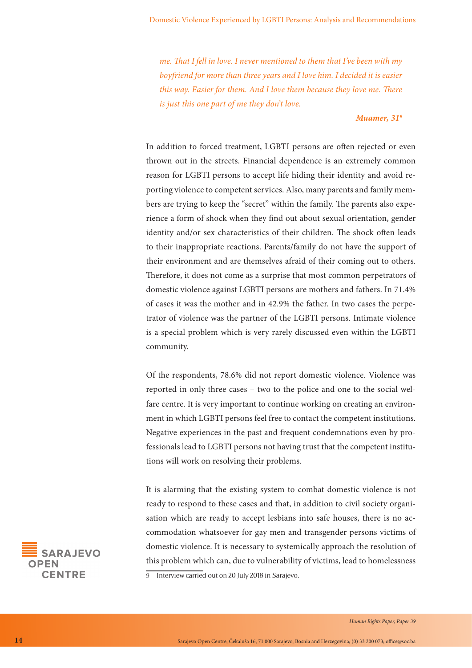*me. That I fell in love. I never mentioned to them that I've been with my boyfriend for more than three years and I love him. I decided it is easier this way. Easier for them. And I love them because they love me. There is just this one part of me they don't love.*

#### *Muamer, 319*

In addition to forced treatment, LGBTI persons are often rejected or even thrown out in the streets. Financial dependence is an extremely common reason for LGBTI persons to accept life hiding their identity and avoid reporting violence to competent services. Also, many parents and family members are trying to keep the "secret" within the family. The parents also experience a form of shock when they find out about sexual orientation, gender identity and/or sex characteristics of their children. The shock often leads to their inappropriate reactions. Parents/family do not have the support of their environment and are themselves afraid of their coming out to others. Therefore, it does not come as a surprise that most common perpetrators of domestic violence against LGBTI persons are mothers and fathers. In 71.4% of cases it was the mother and in 42.9% the father. In two cases the perpetrator of violence was the partner of the LGBTI persons. Intimate violence is a special problem which is very rarely discussed even within the LGBTI community.

Of the respondents, 78.6% did not report domestic violence. Violence was reported in only three cases – two to the police and one to the social welfare centre. It is very important to continue working on creating an environment in which LGBTI persons feel free to contact the competent institutions. Negative experiences in the past and frequent condemnations even by professionals lead to LGBTI persons not having trust that the competent institutions will work on resolving their problems.

It is alarming that the existing system to combat domestic violence is not ready to respond to these cases and that, in addition to civil society organisation which are ready to accept lesbians into safe houses, there is no accommodation whatsoever for gay men and transgender persons victims of domestic violence. It is necessary to systemically approach the resolution of this problem which can, due to vulnerability of victims, lead to homelessness 9 Interview carried out on 20 July 2018 in Sarajevo.

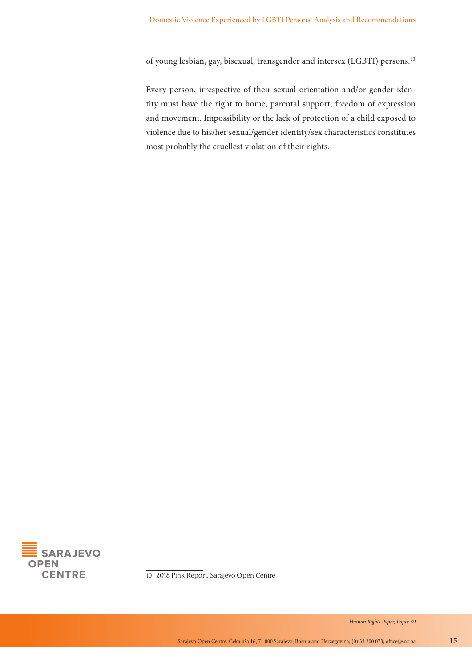of young lesbian, gay, bisexual, transgender and intersex (LGBTI) persons.10

Every person, irrespective of their sexual orientation and/or gender identity must have the right to home, parental support, freedom of expression and movement. Impossibility or the lack of protection of a child exposed to violence due to his/her sexual/gender identity/sex characteristics constitutes most probably the cruellest violation of their rights.



10 2018 Pink Report, Sarajevo Open Centre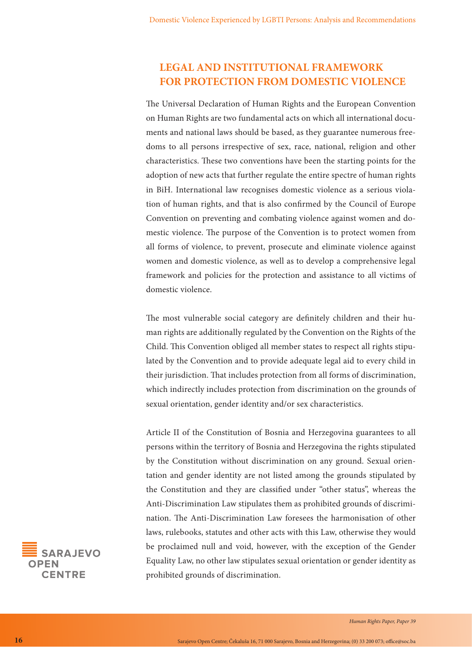## **LEGAL AND INSTITUTIONAL FRAMEWORK FOR PROTECTION FROM DOMESTIC VIOLENCE**

The Universal Declaration of Human Rights and the European Convention on Human Rights are two fundamental acts on which all international documents and national laws should be based, as they guarantee numerous freedoms to all persons irrespective of sex, race, national, religion and other characteristics. These two conventions have been the starting points for the adoption of new acts that further regulate the entire spectre of human rights in BiH. International law recognises domestic violence as a serious violation of human rights, and that is also confirmed by the Council of Europe Convention on preventing and combating violence against women and domestic violence. The purpose of the Convention is to protect women from all forms of violence, to prevent, prosecute and eliminate violence against women and domestic violence, as well as to develop a comprehensive legal framework and policies for the protection and assistance to all victims of domestic violence.

The most vulnerable social category are definitely children and their human rights are additionally regulated by the Convention on the Rights of the Child. This Convention obliged all member states to respect all rights stipulated by the Convention and to provide adequate legal aid to every child in their jurisdiction. That includes protection from all forms of discrimination, which indirectly includes protection from discrimination on the grounds of sexual orientation, gender identity and/or sex characteristics.

Article II of the Constitution of Bosnia and Herzegovina guarantees to all persons within the territory of Bosnia and Herzegovina the rights stipulated by the Constitution without discrimination on any ground. Sexual orientation and gender identity are not listed among the grounds stipulated by the Constitution and they are classified under "other status", whereas the Anti-Discrimination Law stipulates them as prohibited grounds of discrimination. The Anti-Discrimination Law foresees the harmonisation of other laws, rulebooks, statutes and other acts with this Law, otherwise they would be proclaimed null and void, however, with the exception of the Gender Equality Law, no other law stipulates sexual orientation or gender identity as prohibited grounds of discrimination.

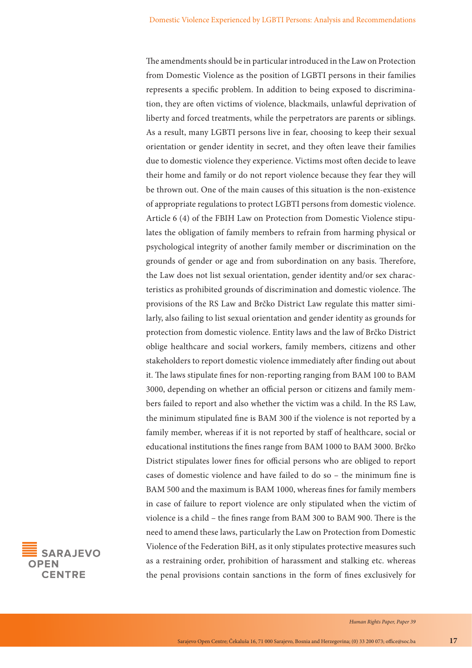The amendments should be in particular introduced in the Law on Protection from Domestic Violence as the position of LGBTI persons in their families represents a specific problem. In addition to being exposed to discrimination, they are often victims of violence, blackmails, unlawful deprivation of liberty and forced treatments, while the perpetrators are parents or siblings. As a result, many LGBTI persons live in fear, choosing to keep their sexual orientation or gender identity in secret, and they often leave their families due to domestic violence they experience. Victims most often decide to leave their home and family or do not report violence because they fear they will be thrown out. One of the main causes of this situation is the non-existence of appropriate regulations to protect LGBTI persons from domestic violence. Article 6 (4) of the FBIH Law on Protection from Domestic Violence stipulates the obligation of family members to refrain from harming physical or psychological integrity of another family member or discrimination on the grounds of gender or age and from subordination on any basis. Therefore, the Law does not list sexual orientation, gender identity and/or sex characteristics as prohibited grounds of discrimination and domestic violence. The provisions of the RS Law and Brčko District Law regulate this matter similarly, also failing to list sexual orientation and gender identity as grounds for protection from domestic violence. Entity laws and the law of Brčko District oblige healthcare and social workers, family members, citizens and other stakeholders to report domestic violence immediately after finding out about it. The laws stipulate fines for non-reporting ranging from BAM 100 to BAM 3000, depending on whether an official person or citizens and family members failed to report and also whether the victim was a child. In the RS Law, the minimum stipulated fine is BAM 300 if the violence is not reported by a family member, whereas if it is not reported by staff of healthcare, social or educational institutions the fines range from BAM 1000 to BAM 3000. Brčko District stipulates lower fines for official persons who are obliged to report cases of domestic violence and have failed to do so – the minimum fine is BAM 500 and the maximum is BAM 1000, whereas fines for family members in case of failure to report violence are only stipulated when the victim of violence is a child – the fines range from BAM 300 to BAM 900. There is the need to amend these laws, particularly the Law on Protection from Domestic Violence of the Federation BiH, as it only stipulates protective measures such as a restraining order, prohibition of harassment and stalking etc. whereas the penal provisions contain sanctions in the form of fines exclusively for

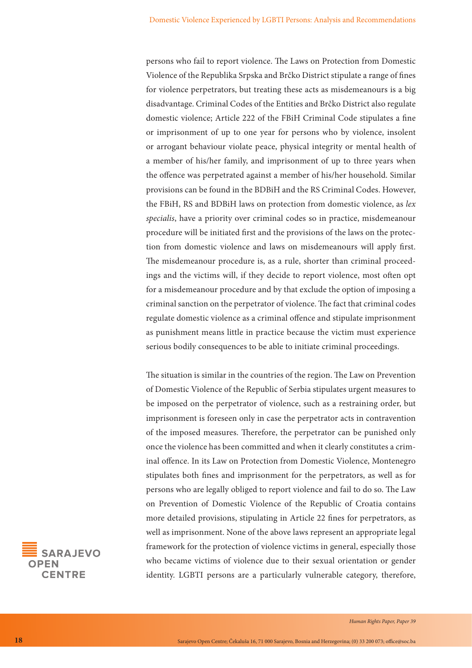persons who fail to report violence. The Laws on Protection from Domestic Violence of the Republika Srpska and Brčko District stipulate a range of fines for violence perpetrators, but treating these acts as misdemeanours is a big disadvantage. Criminal Codes of the Entities and Brčko District also regulate domestic violence; Article 222 of the FBiH Criminal Code stipulates a fine or imprisonment of up to one year for persons who by violence, insolent or arrogant behaviour violate peace, physical integrity or mental health of a member of his/her family, and imprisonment of up to three years when the offence was perpetrated against a member of his/her household. Similar provisions can be found in the BDBiH and the RS Criminal Codes. However, the FBiH, RS and BDBiH laws on protection from domestic violence, as *lex specialis*, have a priority over criminal codes so in practice, misdemeanour procedure will be initiated first and the provisions of the laws on the protection from domestic violence and laws on misdemeanours will apply first. The misdemeanour procedure is, as a rule, shorter than criminal proceedings and the victims will, if they decide to report violence, most often opt for a misdemeanour procedure and by that exclude the option of imposing a criminal sanction on the perpetrator of violence. The fact that criminal codes regulate domestic violence as a criminal offence and stipulate imprisonment as punishment means little in practice because the victim must experience serious bodily consequences to be able to initiate criminal proceedings.

The situation is similar in the countries of the region. The Law on Prevention of Domestic Violence of the Republic of Serbia stipulates urgent measures to be imposed on the perpetrator of violence, such as a restraining order, but imprisonment is foreseen only in case the perpetrator acts in contravention of the imposed measures. Therefore, the perpetrator can be punished only once the violence has been committed and when it clearly constitutes a criminal offence. In its Law on Protection from Domestic Violence, Montenegro stipulates both fines and imprisonment for the perpetrators, as well as for persons who are legally obliged to report violence and fail to do so. The Law on Prevention of Domestic Violence of the Republic of Croatia contains more detailed provisions, stipulating in Article 22 fines for perpetrators, as well as imprisonment. None of the above laws represent an appropriate legal framework for the protection of violence victims in general, especially those who became victims of violence due to their sexual orientation or gender identity. LGBTI persons are a particularly vulnerable category, therefore,

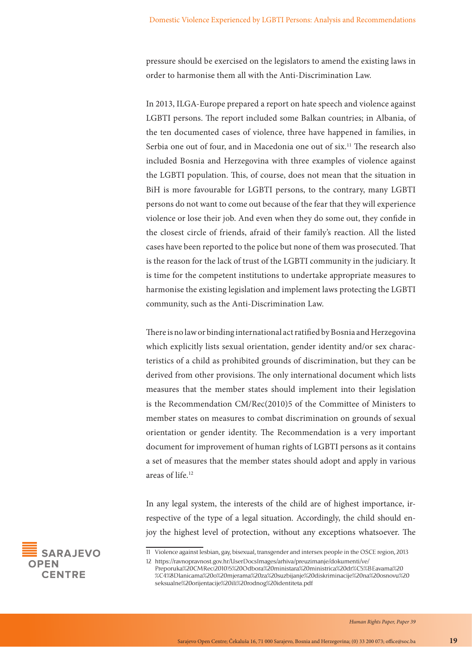pressure should be exercised on the legislators to amend the existing laws in order to harmonise them all with the Anti-Discrimination Law.

In 2013, ILGA-Europe prepared a report on hate speech and violence against LGBTI persons. The report included some Balkan countries; in Albania, of the ten documented cases of violence, three have happened in families, in Serbia one out of four, and in Macedonia one out of six.<sup>11</sup> The research also included Bosnia and Herzegovina with three examples of violence against the LGBTI population. This, of course, does not mean that the situation in BiH is more favourable for LGBTI persons, to the contrary, many LGBTI persons do not want to come out because of the fear that they will experience violence or lose their job. And even when they do some out, they confide in the closest circle of friends, afraid of their family's reaction. All the listed cases have been reported to the police but none of them was prosecuted. That is the reason for the lack of trust of the LGBTI community in the judiciary. It is time for the competent institutions to undertake appropriate measures to harmonise the existing legislation and implement laws protecting the LGBTI community, such as the Anti-Discrimination Law.

There is no law or binding international act ratified by Bosnia and Herzegovina which explicitly lists sexual orientation, gender identity and/or sex characteristics of a child as prohibited grounds of discrimination, but they can be derived from other provisions. The only international document which lists measures that the member states should implement into their legislation is the Recommendation CM/Rec(2010)5 of the Committee of Ministers to member states on measures to combat discrimination on grounds of sexual orientation or gender identity. The Recommendation is a very important document for improvement of human rights of LGBTI persons as it contains a set of measures that the member states should adopt and apply in various areas of life.12

In any legal system, the interests of the child are of highest importance, irrespective of the type of a legal situation. Accordingly, the child should enjoy the highest level of protection, without any exceptions whatsoever. The



<sup>11</sup> Violence against lesbian, gay, bisexual, transgender and intersex people in the OSCE region, 2013 12 https://ravnopravnost.gov.hr/UserDocsImages/arhiva/preuzimanje/dokumenti/ve/

Preporuka%20CMRec(2010)5%20Odbora%20ministara%20ministrica%20dr%C5%BEavama%20 %C4%8Dlanicama%20o%20mjerama%20za%20suzbijanje%20diskriminacije%20na%20osnovu%20 seksualne%20orijentacije%20ili%20rodnog%20identiteta.pdf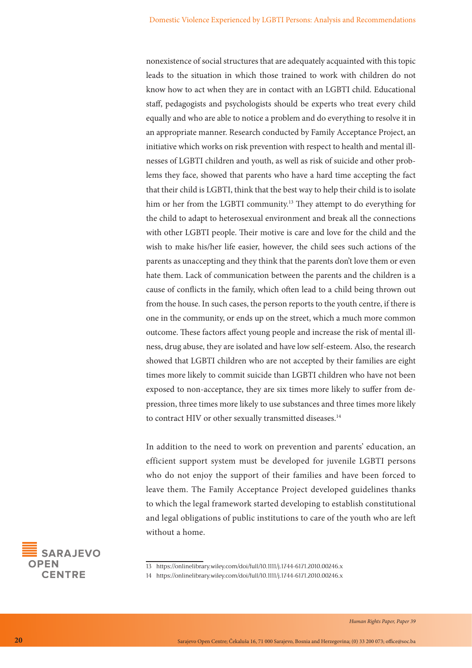nonexistence of social structures that are adequately acquainted with this topic leads to the situation in which those trained to work with children do not know how to act when they are in contact with an LGBTI child. Educational staff, pedagogists and psychologists should be experts who treat every child equally and who are able to notice a problem and do everything to resolve it in an appropriate manner. Research conducted by Family Acceptance Project, an initiative which works on risk prevention with respect to health and mental illnesses of LGBTI children and youth, as well as risk of suicide and other problems they face, showed that parents who have a hard time accepting the fact that their child is LGBTI, think that the best way to help their child is to isolate him or her from the LGBTI community.<sup>13</sup> They attempt to do everything for the child to adapt to heterosexual environment and break all the connections with other LGBTI people. Their motive is care and love for the child and the wish to make his/her life easier, however, the child sees such actions of the parents as unaccepting and they think that the parents don't love them or even hate them. Lack of communication between the parents and the children is a cause of conflicts in the family, which often lead to a child being thrown out from the house. In such cases, the person reports to the youth centre, if there is one in the community, or ends up on the street, which a much more common outcome. These factors affect young people and increase the risk of mental illness, drug abuse, they are isolated and have low self-esteem. Also, the research showed that LGBTI children who are not accepted by their families are eight times more likely to commit suicide than LGBTI children who have not been exposed to non-acceptance, they are six times more likely to suffer from depression, three times more likely to use substances and three times more likely to contract HIV or other sexually transmitted diseases.<sup>14</sup>

In addition to the need to work on prevention and parents' education, an efficient support system must be developed for juvenile LGBTI persons who do not enjoy the support of their families and have been forced to leave them. The Family Acceptance Project developed guidelines thanks to which the legal framework started developing to establish constitutional and legal obligations of public institutions to care of the youth who are left without a home.



14 https://onlinelibrary.wiley.com/doi/full/10.1111/j.1744-6171.2010.00246.x

<sup>13</sup> https://onlinelibrary.wiley.com/doi/full/10.1111/j.1744-6171.2010.00246.x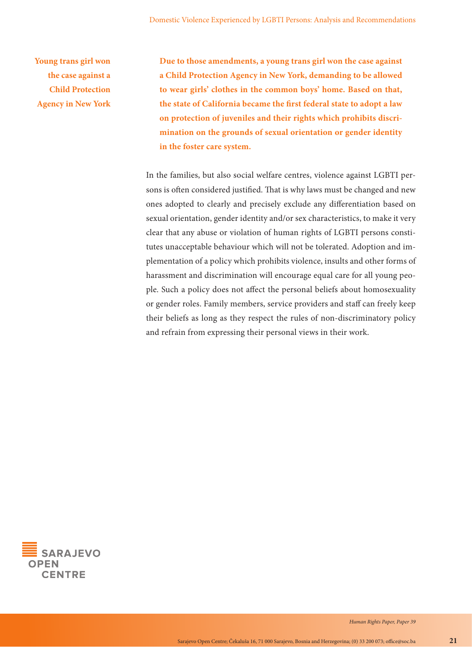**Young trans girl won the case against a Child Protection Agency in New York** **Due to those amendments, a young trans girl won the case against a Child Protection Agency in New York, demanding to be allowed to wear girls' clothes in the common boys' home. Based on that, the state of California became the first federal state to adopt a law on protection of juveniles and their rights which prohibits discrimination on the grounds of sexual orientation or gender identity in the foster care system.**

In the families, but also social welfare centres, violence against LGBTI persons is often considered justified. That is why laws must be changed and new ones adopted to clearly and precisely exclude any differentiation based on sexual orientation, gender identity and/or sex characteristics, to make it very clear that any abuse or violation of human rights of LGBTI persons constitutes unacceptable behaviour which will not be tolerated. Adoption and implementation of a policy which prohibits violence, insults and other forms of harassment and discrimination will encourage equal care for all young people. Such a policy does not affect the personal beliefs about homosexuality or gender roles. Family members, service providers and staff can freely keep their beliefs as long as they respect the rules of non-discriminatory policy and refrain from expressing their personal views in their work.

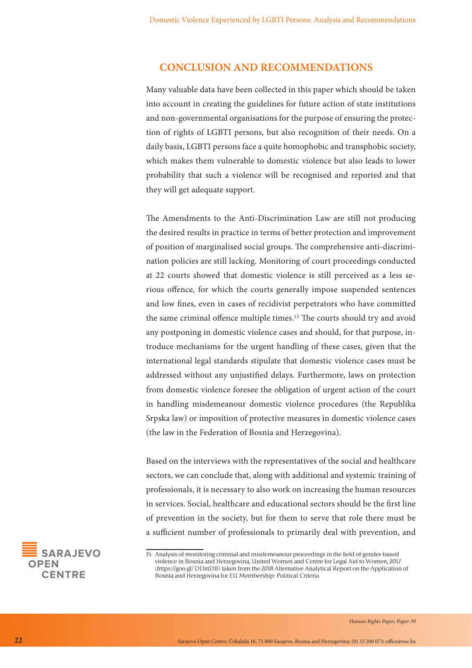#### **CONCLUSION AND RECOMMENDATIONS**

Many valuable data have been collected in this paper which should be taken into account in creating the guidelines for future action of state institutions and non-governmental organisations for the purpose of ensuring the protection of rights of LGBTI persons, but also recognition of their needs. On a daily basis, LGBTI persons face a quite homophobic and transphobic society, which makes them vulnerable to domestic violence but also leads to lower probability that such a violence will be recognised and reported and that they will get adequate support.

The Amendments to the Anti-Discrimination Law are still not producing the desired results in practice in terms of better protection and improvement of position of marginalised social groups. The comprehensive anti-discrimination policies are still lacking. Monitoring of court proceedings conducted at 22 courts showed that domestic violence is still perceived as a less serious offence, for which the courts generally impose suspended sentences and low fines, even in cases of recidivist perpetrators who have committed the same criminal offence multiple times.15 The courts should try and avoid any postponing in domestic violence cases and should, for that purpose, introduce mechanisms for the urgent handling of these cases, given that the international legal standards stipulate that domestic violence cases must be addressed without any unjustified delays. Furthermore, laws on protection from domestic violence foresee the obligation of urgent action of the court in handling misdemeanour domestic violence procedures (the Republika Srpska law) or imposition of protective measures in domestic violence cases (the law in the Federation of Bosnia and Herzegovina).

Based on the interviews with the representatives of the social and healthcare sectors, we can conclude that, along with additional and systemic training of professionals, it is necessary to also work on increasing the human resources in services. Social, healthcare and educational sectors should be the first line of prevention in the society, but for them to serve that role there must be a sufficient number of professionals to primarily deal with prevention, and



<sup>15</sup> Analysis of monitoring criminal and misdemeanour proceedings in the field of gender-based violence in Bosnia and Herzegovina, United Women and Centre for Legal Aid to Women, 2017 (https://goo.gl/ DDztDB) taken from the 2018 Alternative Analytical Report on the Application of Bosnia and Herzegovina for EU Membership: Political Criteria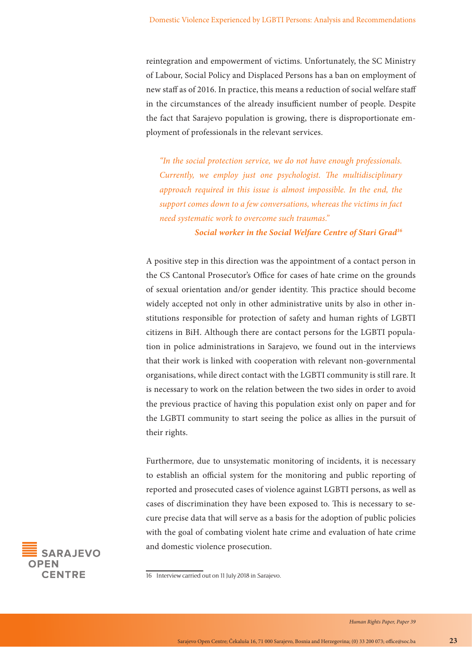reintegration and empowerment of victims. Unfortunately, the SC Ministry of Labour, Social Policy and Displaced Persons has a ban on employment of new staff as of 2016. In practice, this means a reduction of social welfare staff in the circumstances of the already insufficient number of people. Despite the fact that Sarajevo population is growing, there is disproportionate employment of professionals in the relevant services.

*"In the social protection service, we do not have enough professionals. Currently, we employ just one psychologist. The multidisciplinary approach required in this issue is almost impossible. In the end, the support comes down to a few conversations, whereas the victims in fact need systematic work to overcome such traumas."*

*Social worker in the Social Welfare Centre of Stari Grad16*

A positive step in this direction was the appointment of a contact person in the CS Cantonal Prosecutor's Office for cases of hate crime on the grounds of sexual orientation and/or gender identity. This practice should become widely accepted not only in other administrative units by also in other institutions responsible for protection of safety and human rights of LGBTI citizens in BiH. Although there are contact persons for the LGBTI population in police administrations in Sarajevo, we found out in the interviews that their work is linked with cooperation with relevant non-governmental organisations, while direct contact with the LGBTI community is still rare. It is necessary to work on the relation between the two sides in order to avoid the previous practice of having this population exist only on paper and for the LGBTI community to start seeing the police as allies in the pursuit of their rights.

Furthermore, due to unsystematic monitoring of incidents, it is necessary to establish an official system for the monitoring and public reporting of reported and prosecuted cases of violence against LGBTI persons, as well as cases of discrimination they have been exposed to. This is necessary to secure precise data that will serve as a basis for the adoption of public policies with the goal of combating violent hate crime and evaluation of hate crime and domestic violence prosecution.



<sup>16</sup> Interview carried out on 11 July 2018 in Sarajevo.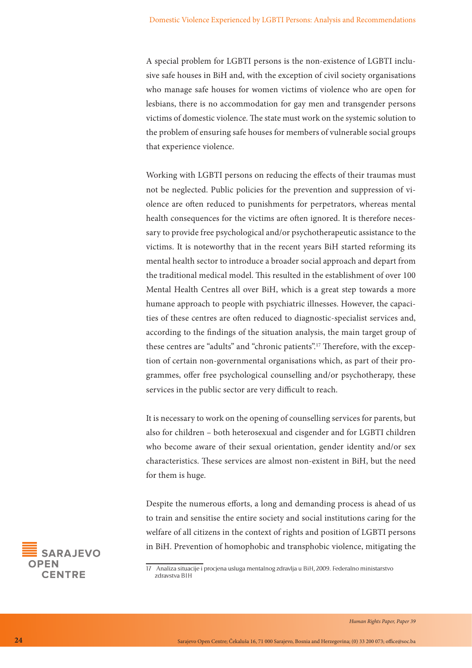A special problem for LGBTI persons is the non-existence of LGBTI inclusive safe houses in BiH and, with the exception of civil society organisations who manage safe houses for women victims of violence who are open for lesbians, there is no accommodation for gay men and transgender persons victims of domestic violence. The state must work on the systemic solution to the problem of ensuring safe houses for members of vulnerable social groups that experience violence.

Working with LGBTI persons on reducing the effects of their traumas must not be neglected. Public policies for the prevention and suppression of violence are often reduced to punishments for perpetrators, whereas mental health consequences for the victims are often ignored. It is therefore necessary to provide free psychological and/or psychotherapeutic assistance to the victims. It is noteworthy that in the recent years BiH started reforming its mental health sector to introduce a broader social approach and depart from the traditional medical model. This resulted in the establishment of over 100 Mental Health Centres all over BiH, which is a great step towards a more humane approach to people with psychiatric illnesses. However, the capacities of these centres are often reduced to diagnostic-specialist services and, according to the findings of the situation analysis, the main target group of these centres are "adults" and "chronic patients".17 Therefore, with the exception of certain non-governmental organisations which, as part of their programmes, offer free psychological counselling and/or psychotherapy, these services in the public sector are very difficult to reach.

It is necessary to work on the opening of counselling services for parents, but also for children – both heterosexual and cisgender and for LGBTI children who become aware of their sexual orientation, gender identity and/or sex characteristics. These services are almost non-existent in BiH, but the need for them is huge.

Despite the numerous efforts, a long and demanding process is ahead of us to train and sensitise the entire society and social institutions caring for the welfare of all citizens in the context of rights and position of LGBTI persons in BiH. Prevention of homophobic and transphobic violence, mitigating the



<sup>17</sup> Analiza situacije i procjena usluga mentalnog zdravlja u BiH, 2009. Federalno ministarstvo zdravstva BIH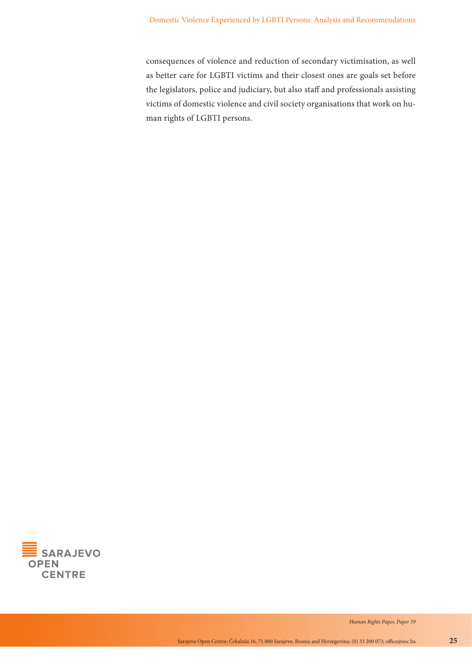consequences of violence and reduction of secondary victimisation, as well as better care for LGBTI victims and their closest ones are goals set before the legislators, police and judiciary, but also staff and professionals assisting victims of domestic violence and civil society organisations that work on human rights of LGBTI persons.

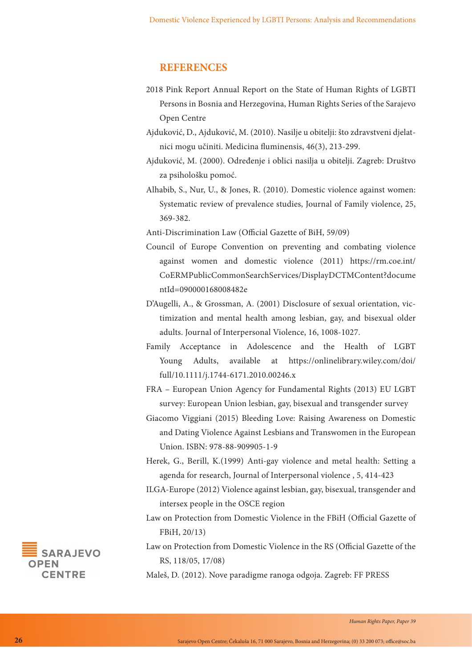#### **REFERENCES**

- 2018 Pink Report Annual Report on the State of Human Rights of LGBTI Persons in Bosnia and Herzegovina, Human Rights Series of the Sarajevo Open Centre
- Ajduković, D., Ajduković, M. (2010). Nasilje u obitelji: što zdravstveni djelatnici mogu učiniti. Medicina fluminensis, 46(3), 213-299.
- Ajduković, M. (2000). Određenje i oblici nasilja u obitelji. Zagreb: Društvo za psihološku pomoć.
- Alhabib, S., Nur, U., & Jones, R. (2010). Domestic violence against women: Systematic review of prevalence studies, Journal of Family violence, 25, 369-382.

Anti-Discrimination Law (Official Gazette of BiH, 59/09)

- Council of Europe Convention on preventing and combating violence against women and domestic violence (2011) https://rm.coe.int/ CoERMPublicCommonSearchServices/DisplayDCTMContent?docume ntId=090000168008482e
- D'Augelli, A., & Grossman, A. (2001) Disclosure of sexual orientation, victimization and mental health among lesbian, gay, and bisexual older adults. Journal of Interpersonal Violence, 16, 1008-1027.
- Family Acceptance in Adolescence and the Health of LGBT Young Adults, available at https://onlinelibrary.wiley.com/doi/ full/10.1111/j.1744-6171.2010.00246.x
- FRA European Union Agency for Fundamental Rights (2013) EU LGBT survey: European Union lesbian, gay, bisexual and transgender survey
- Giacomo Viggiani (2015) Bleeding Love: Raising Awareness on Domestic and Dating Violence Against Lesbians and Transwomen in the European Union. ISBN: 978-88-909905-1-9
- Herek, G., Berill, K.(1999) Anti-gay violence and metal health: Setting a agenda for research, Journal of Interpersonal violence , 5, 414-423
- ILGA-Europe (2012) Violence against lesbian, gay, bisexual, transgender and intersex people in the OSCE region
- Law on Protection from Domestic Violence in the FBiH (Official Gazette of FBiH, 20/13)
- Law on Protection from Domestic Violence in the RS (Official Gazette of the RS, 118/05, 17/08)

Maleš, D. (2012). Nove paradigme ranoga odgoja. Zagreb: FF PRESS

**SARA IEVO PFN CENTRE**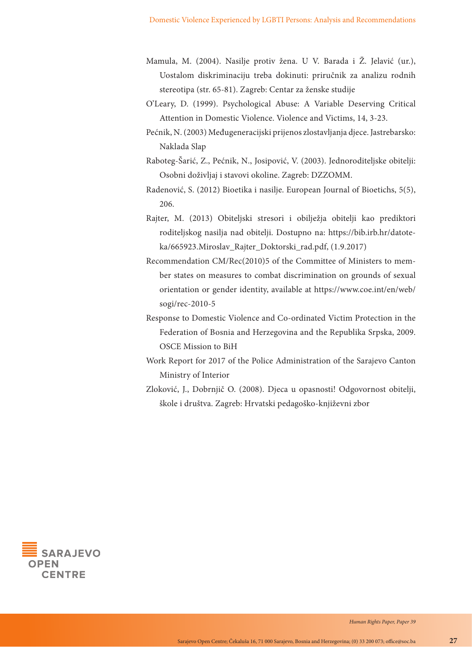- Mamula, M. (2004). Nasilje protiv žena. U V. Barada i Ž. Jelavić (ur.), Uostalom diskriminaciju treba dokinuti: priručnik za analizu rodnih stereotipa (str. 65-81). Zagreb: Centar za ženske studije
- O'Leary, D. (1999). Psychological Abuse: A Variable Deserving Critical Attention in Domestic Violence. Violence and Victims, 14, 3-23.
- Pećnik, N. (2003) Međugeneracijski prijenos zlostavljanja djece. Jastrebarsko: Naklada Slap
- Raboteg-Šarić, Z., Pećnik, N., Josipović, V. (2003). Jednoroditeljske obitelji: Osobni doživljaj i stavovi okoline. Zagreb: DZZOMM.
- Radenović, S. (2012) Bioetika i nasilje. European Journal of Bioetichs, 5(5), 206.
- Rajter, M. (2013) Obiteljski stresori i obilježja obitelji kao prediktori roditeljskog nasilja nad obitelji. Dostupno na: https://bib.irb.hr/datoteka/665923.Miroslav\_Rajter\_Doktorski\_rad.pdf, (1.9.2017)
- Recommendation CM/Rec(2010)5 of the Committee of Ministers to member states on measures to combat discrimination on grounds of sexual orientation or gender identity, available at https://www.coe.int/en/web/ sogi/rec-2010-5
- Response to Domestic Violence and Co-ordinated Victim Protection in the Federation of Bosnia and Herzegovina and the Republika Srpska, 2009. OSCE Mission to BiH
- Work Report for 2017 of the Police Administration of the Sarajevo Canton Ministry of Interior
- Zloković, J., Dobrnjič O. (2008). Djeca u opasnosti! Odgovornost obitelji, škole i društva. Zagreb: Hrvatski pedagoško-književni zbor

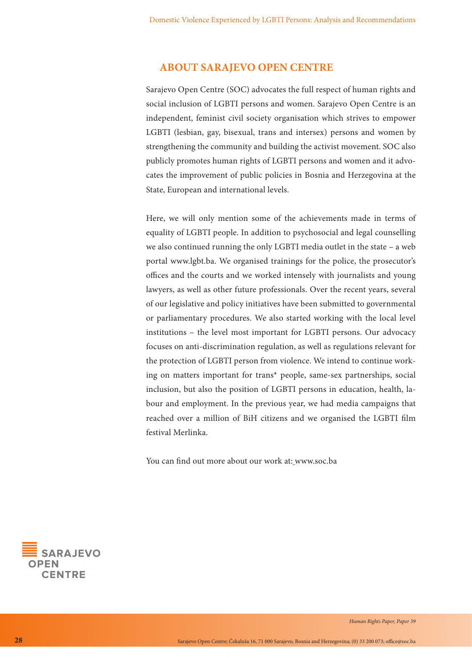#### **ABOUT SARAJEVO OPEN CENTRE**

Sarajevo Open Centre (SOC) advocates the full respect of human rights and social inclusion of LGBTI persons and women. Sarajevo Open Centre is an independent, feminist civil society organisation which strives to empower LGBTI (lesbian, gay, bisexual, trans and intersex) persons and women by strengthening the community and building the activist movement. SOC also publicly promotes human rights of LGBTI persons and women and it advocates the improvement of public policies in Bosnia and Herzegovina at the State, European and international levels.

Here, we will only mention some of the achievements made in terms of equality of LGBTI people. In addition to psychosocial and legal counselling we also continued running the only LGBTI media outlet in the state – a web portal www.lgbt.ba. We organised trainings for the police, the prosecutor's offices and the courts and we worked intensely with journalists and young lawyers, as well as other future professionals. Over the recent years, several of our legislative and policy initiatives have been submitted to governmental or parliamentary procedures. We also started working with the local level institutions – the level most important for LGBTI persons. Our advocacy focuses on anti-discrimination regulation, as well as regulations relevant for the protection of LGBTI person from violence. We intend to continue working on matters important for trans\* people, same-sex partnerships, social inclusion, but also the position of LGBTI persons in education, health, labour and employment. In the previous year, we had media campaigns that reached over a million of BiH citizens and we organised the LGBTI film festival Merlinka.

You can find out more about our work at: www.soc.ba

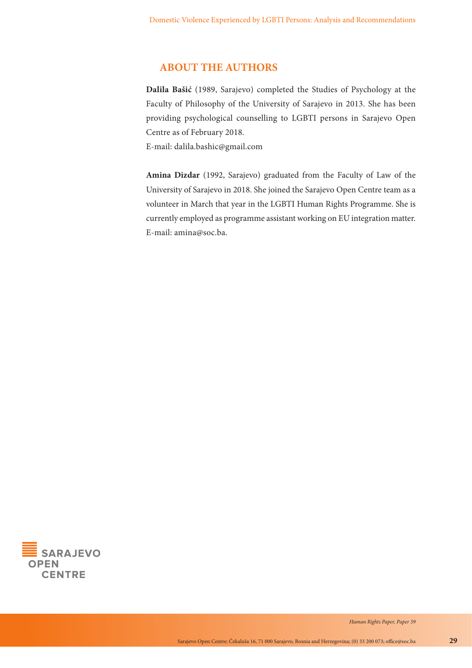## **ABOUT THE AUTHORS**

**Dalila Bašić** (1989, Sarajevo) completed the Studies of Psychology at the Faculty of Philosophy of the University of Sarajevo in 2013. She has been providing psychological counselling to LGBTI persons in Sarajevo Open Centre as of February 2018.

E-mail: dalila.bashic@gmail.com

**Amina Dizdar** (1992, Sarajevo) graduated from the Faculty of Law of the University of Sarajevo in 2018. She joined the Sarajevo Open Centre team as a volunteer in March that year in the LGBTI Human Rights Programme. She is currently employed as programme assistant working on EU integration matter. E-mail: amina@soc.ba.

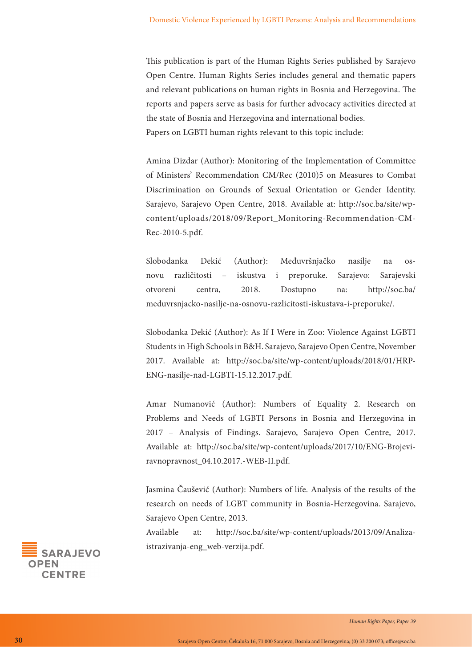This publication is part of the Human Rights Series published by Sarajevo Open Centre. Human Rights Series includes general and thematic papers and relevant publications on human rights in Bosnia and Herzegovina. The reports and papers serve as basis for further advocacy activities directed at the state of Bosnia and Herzegovina and international bodies. Papers on LGBTI human rights relevant to this topic include:

Amina Dizdar (Author): Monitoring of the Implementation of Committee of Ministers' Recommendation CM/Rec (2010)5 on Measures to Combat Discrimination on Grounds of Sexual Orientation or Gender Identity. Sarajevo, Sarajevo Open Centre, 2018. Available at: http://soc.ba/site/wpcontent/uploads/2018/09/Report\_Monitoring-Recommendation-CM-Rec-2010-5.pdf.

Slobodanka Dekić (Author): Međuvršnjačko nasilje na osnovu različitosti – iskustva i preporuke. Sarajevo: Sarajevski otvoreni centra, 2018. Dostupno na: http://soc.ba/ meduvrsnjacko-nasilje-na-osnovu-razlicitosti-iskustava-i-preporuke/.

Slobodanka Dekić (Author): As If I Were in Zoo: Violence Against LGBTI Students in High Schools in B&H. Sarajevo, Sarajevo Open Centre, November 2017. Available at: http://soc.ba/site/wp-content/uploads/2018/01/HRP-ENG-nasilje-nad-LGBTI-15.12.2017.pdf.

Amar Numanović (Author): Numbers of Equality 2. Research on Problems and Needs of LGBTI Persons in Bosnia and Herzegovina in 2017 – Analysis of Findings. Sarajevo, Sarajevo Open Centre, 2017. Available at: http://soc.ba/site/wp-content/uploads/2017/10/ENG-Brojeviravnopravnost\_04.10.2017.-WEB-II.pdf.

Jasmina Čaušević (Author): Numbers of life. Analysis of the results of the research on needs of LGBT community in Bosnia-Herzegovina. Sarajevo, Sarajevo Open Centre, 2013.

Available at: http://soc.ba/site/wp-content/uploads/2013/09/Analizaistrazivanja-eng\_web-verzija.pdf.